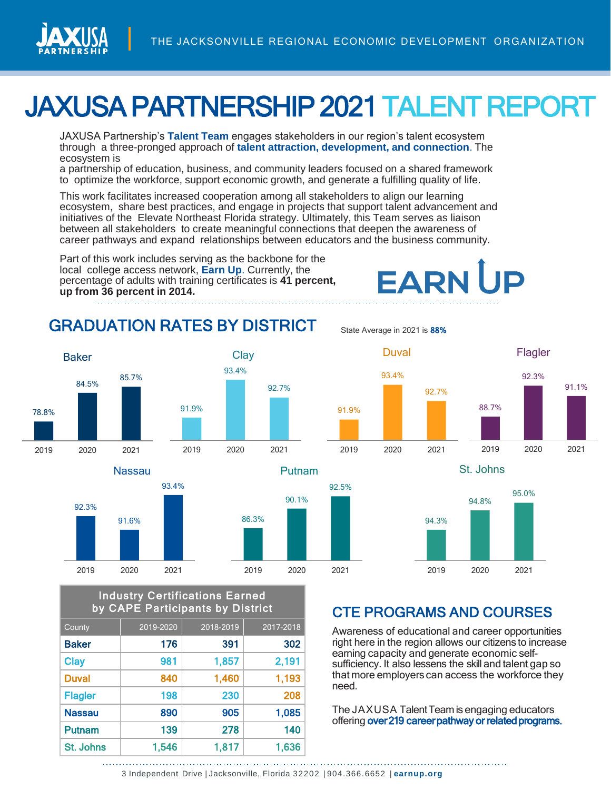

# JAXUSA PARTNERSHIP 2021TALENT REPORT

JAXUSA Partnership's **Talent Team** engages stakeholders in our region's talent ecosystem through a three-pronged approach of **talent attraction, development, and connection**. The ecosystem is

a partnership of education, business, and community leaders focused on a shared framework to optimize the workforce, support economic growth, and generate a fulfilling quality of life.

This work facilitates increased cooperation among all stakeholders to align our learning ecosystem, share best practices, and engage in projects that support talent advancement and initiatives of the Elevate Northeast Florida strategy. Ultimately, this Team serves as liaison between all stakeholders to create meaningful connections that deepen the awareness of career pathways and expand relationships between educators and the business community.

Part of this work includes serving as the backbone for the local college access network, **Earn Up**. Currently, the percentage of adults with training certificates is **41 percent, up from 36 percent in 2014.**

#### GRADUATION RATES BY DISTRICT





#### Industry Certifications Earned by CAPE Participants by District

| County         | 2019-2020 | 2018-2019 | 2017-2018 |
|----------------|-----------|-----------|-----------|
| <b>Baker</b>   | 176       | 391       | 302       |
| <b>Clay</b>    | 981       | 1,857     | 2,191     |
| <b>Duval</b>   | 840       | 1,460     | 1,193     |
| <b>Flagler</b> | 198       | 230       | 208       |
| <b>Nassau</b>  | 890       | 905       | 1,085     |
| <b>Putnam</b>  | 139       | 278       | 140       |
| St. Johns      | 1,546     | 1,817     | 1,636     |

State Average in 2021 is 88%



**EARN UP** 



### CTE PROGRAMS AND COURSES

Awareness of educational and career opportunities right here in the region allows our citizens to increase earning capacity and generate economic selfsufficiency. It also lessens the skill and talent gap so that more employers can access the workforce they need.

The JAXUSA Talent Team is engaging educators offering over 219 career pathway or related programs.

90.1%

92.5%

<sup>3</sup> Independent Drive | Jacksonville, Florida 32202 | 904.366.6652 | **earnup.org**